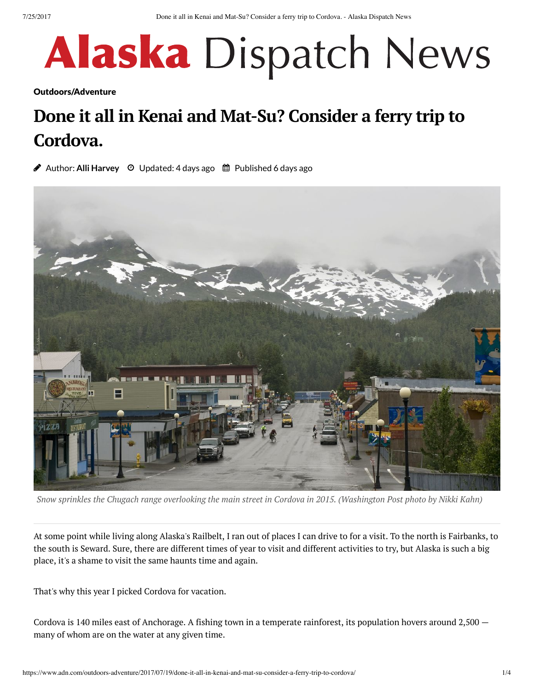# **Alaska** Dispatch News

[Outdoors/Adventure](https://www.adn.com/section/outdoors-adventure/)

# **Done it all in Kenai and Mat-Su? Consider a ferry trip to Cordova.**

**Author: Alli [Harvey](https://www.adn.com/author/alli-harvey/)** ⊙ Updated: 4 days ago ■ Published 6 days ago



Snow sprinkles the Chugach range overlooking the main street in Cordova in 2015. (Washington Post photo by Nikki Kahn)

At some point while living along Alaska's Railbelt, I ran out of places I can drive to for a visit. To the north is Fairbanks, to the south is Seward. Sure, there are different times of year to visit and different activities to try, but Alaska is such a big place, it's a shame to visit the same haunts time and again.

That's why this year I picked Cordova for vacation.

Cordova is 140 miles east of Anchorage. A fishing town in a temperate rainforest, its population hovers around 2,500 many of whom are on the water at any given time.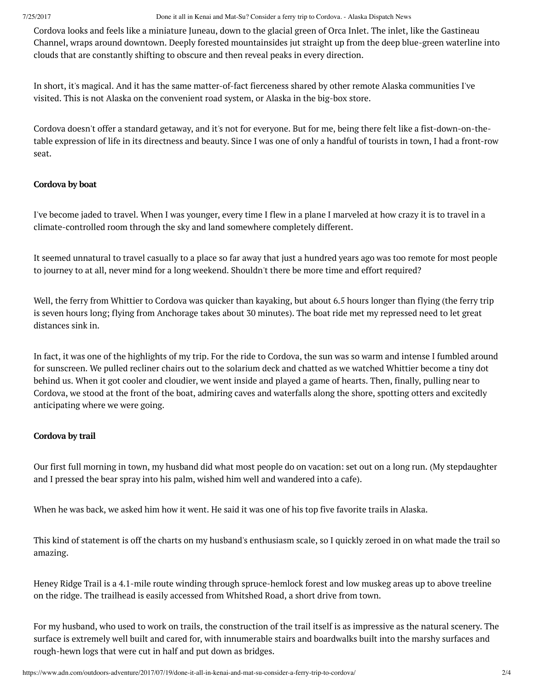7/25/2017 Done it all in Kenai and Mat-Su? Consider a ferry trip to Cordova. - Alaska Dispatch News

Cordova looks and feels like a miniature Juneau, down to the glacial green of Orca Inlet. The inlet, like the Gastineau Channel, wraps around downtown. Deeply forested mountainsides jut straight up from the deep blue-green waterline into clouds that are constantly shifting to obscure and then reveal peaks in every direction.

In short, it's magical. And it has the same matter-of-fact fierceness shared by other remote Alaska communities I've visited. This is not Alaska on the convenient road system, or Alaska in the big-box store.

Cordova doesn't offer a standard getaway, and it's not for everyone. But for me, being there felt like a fist-down-on-thetable expression of life in its directness and beauty. Since I was one of only a handful of tourists in town, I had a front-row seat.

### **Cordova by boat**

I've become jaded to travel. When I was younger, every time I flew in a plane I marveled at how crazy it is to travel in a climate-controlled room through the sky and land somewhere completely different.

It seemed unnatural to travel casually to a place so far away that just a hundred years ago was too remote for most people to journey to at all, never mind for a long weekend. Shouldn't there be more time and effort required?

Well, the ferry from Whittier to Cordova was quicker than kayaking, but about 6.5 hours longer than flying (the ferry trip is seven hours long; flying from Anchorage takes about 30 minutes). The boat ride met my repressed need to let great distances sink in.

In fact, it was one of the highlights of my trip. For the ride to Cordova, the sun was so warm and intense I fumbled around for sunscreen. We pulled recliner chairs out to the solarium deck and chatted as we watched Whittier become a tiny dot behind us. When it got cooler and cloudier, we went inside and played a game of hearts. Then, finally, pulling near to Cordova, we stood at the front of the boat, admiring caves and waterfalls along the shore, spotting otters and excitedly anticipating where we were going.

## **Cordova by trail**

Our first full morning in town, my husband did what most people do on vacation: set out on a long run. (My stepdaughter and I pressed the bear spray into his palm, wished him well and wandered into a cafe).

When he was back, we asked him how it went. He said it was one of his top five favorite trails in Alaska.

This kind of statement is off the charts on my husband's enthusiasm scale, so I quickly zeroed in on what made the trail so amazing.

Heney Ridge Trail is a 4.1-mile route winding through spruce-hemlock forest and low muskeg areas up to above treeline on the ridge. The trailhead is easily accessed from Whitshed Road, a short drive from town.

For my husband, who used to work on trails, the construction of the trail itself is as impressive as the natural scenery. The surface is extremely well built and cared for, with innumerable stairs and boardwalks built into the marshy surfaces and rough-hewn logs that were cut in half and put down as bridges.